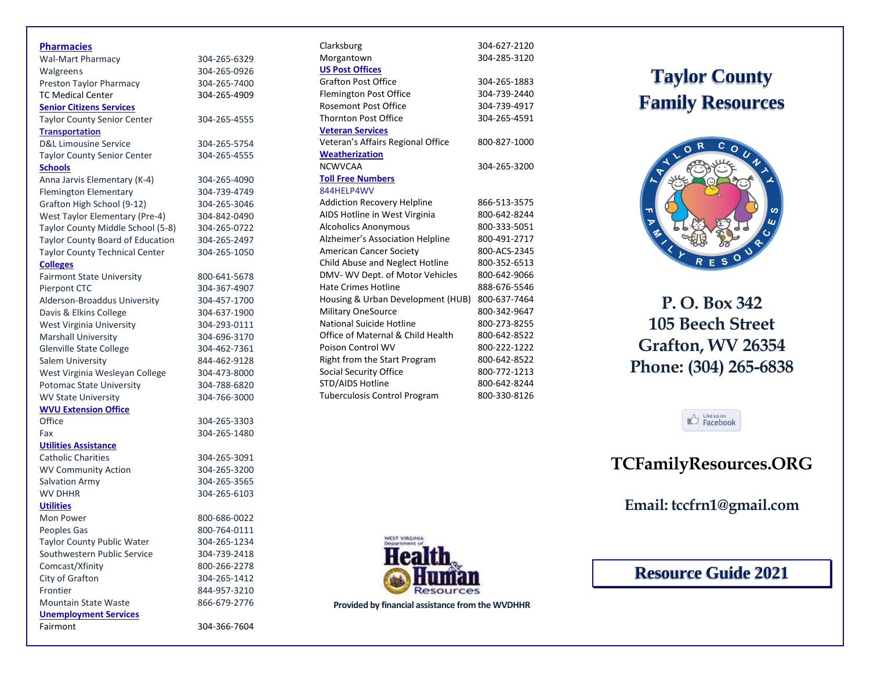| <b>Pharmacies</b>                     |              |
|---------------------------------------|--------------|
| <b>Wal-Mart Pharmacy</b>              | 304-265-6329 |
| <b>Walgreens</b>                      | 304-265-0926 |
| Preston Taylor Pharmacy               | 304-265-7400 |
| <b>TC Medical Center</b>              | 304-265-4909 |
| <b>Senior Citizens Services</b>       |              |
| <b>Taylor County Senior Center</b>    | 304-265-4555 |
| <b>Transportation</b>                 |              |
| <b>D&amp;L Limousine Service</b>      | 304-265-5754 |
| <b>Taylor County Senior Center</b>    | 304-265-4555 |
| <b>Schools</b>                        |              |
| Anna Jarvis Elementary (K-4)          | 304-265-4090 |
| <b>Flemington Elementary</b>          | 304-739-4749 |
| Grafton High School (9-12)            | 304-265-3046 |
| <b>West Taylor Elementary (Pre-4)</b> | 304-842-0490 |
| Taylor County Middle School (5-8)     | 304-265-0722 |
| Taylor County Board of Education      | 304-265-2497 |
| <b>Taylor County Technical Center</b> | 304-265-1050 |
| <b>Colleges</b>                       |              |
| <b>Fairmont State University</b>      | 800-641-5678 |
| Pierpont CTC                          | 304-367-4907 |
| Alderson-Broaddus University          | 304-457-1700 |
| Davis & Elkins College                | 304-637-1900 |
| West Virginia University              | 304-293-0111 |
| <b>Marshall University</b>            | 304-696-3170 |
| <b>Glenville State College</b>        | 304-462-7361 |
| Salem University                      | 844-462-9128 |
| West Virginia Wesleyan College        | 304-473-8000 |
| <b>Potomac State University</b>       | 304-788-6820 |
| <b>WV State University</b>            | 304-766-3000 |
| <b>WVU Extension Office</b>           |              |
| Office                                | 304-265-3303 |
| Fax                                   | 304-265-1480 |
| <b>Utilities Assistance</b>           |              |
| <b>Catholic Charities</b>             | 304-265-3091 |
| <b>WV Community Action</b>            | 304-265-3200 |
| <b>Salvation Army</b>                 | 304-265-3565 |
| <b>WV DHHR</b>                        | 304-265-6103 |
| <b>Utilities</b>                      |              |
| Mon Power                             | 800-686-0022 |
| Peoples Gas                           | 800-764-0111 |
| <b>Taylor County Public Water</b>     | 304-265-1234 |
| Southwestern Public Service           | 304-739-2418 |
| Comcast/Xfinity                       | 800-266-2278 |
| City of Grafton                       | 304-265-1412 |
| Frontier                              | 844-957-3210 |
| <b>Mountain State Waste</b>           | 866-679-2776 |
| <b>Unemployment Services</b>          |              |
| Fairmont                              | 304-366-7604 |

| Clarksburg                          | 304-627-2120 |
|-------------------------------------|--------------|
| Morgantown                          | 304-285-3120 |
| <b>US Post Offices</b>              |              |
| <b>Grafton Post Office</b>          | 304-265-1883 |
| <b>Flemington Post Office</b>       | 304-739-2440 |
| Rosemont Post Office                | 304-739-4917 |
| <b>Thornton Post Office</b>         | 304-265-4591 |
| <b>Veteran Services</b>             |              |
| Veteran's Affairs Regional Office   | 800-827-1000 |
| <b>Weatherization</b>               |              |
| <b>NCWVCAA</b>                      | 304-265-3200 |
| <b>Toll Free Numbers</b>            |              |
| 844HELP4WV                          |              |
| <b>Addiction Recovery Helpline</b>  | 866-513-3575 |
| AIDS Hotline in West Virginia       | 800-642-8244 |
| <b>Alcoholics Anonymous</b>         | 800-333-5051 |
| Alzheimer's Association Helpline    | 800-491-2717 |
| <b>American Cancer Society</b>      | 800-ACS-2345 |
| Child Abuse and Neglect Hotline     | 800-352-6513 |
| DMV-WV Dept. of Motor Vehicles      | 800-642-9066 |
| <b>Hate Crimes Hotline</b>          | 888-676-5546 |
| Housing & Urban Development (HUB)   | 800-637-7464 |
| <b>Military OneSource</b>           | 800-342-9647 |
| <b>National Suicide Hotline</b>     | 800-273-8255 |
| Office of Maternal & Child Health   | 800-642-8522 |
| Poison Control WV                   | 800-222-1222 |
| Right from the Start Program        | 800-642-8522 |
| <b>Social Security Office</b>       | 800-772-1213 |
| STD/AIDS Hotline                    | 800-642-8244 |
| <b>Tuberculosis Control Program</b> | 800-330-8126 |

## **Taylor County Family Resources**



**P. O. Box 342 105 Beech Street Grafton, WV 26354 Phone: (304) 265 -6838**



## **TCFamilyResources.ORG**

**Email: tccfrn1@gmail.com**

**Resource Guide 2021**



**Provided by financial assistance from the WVDHHR**